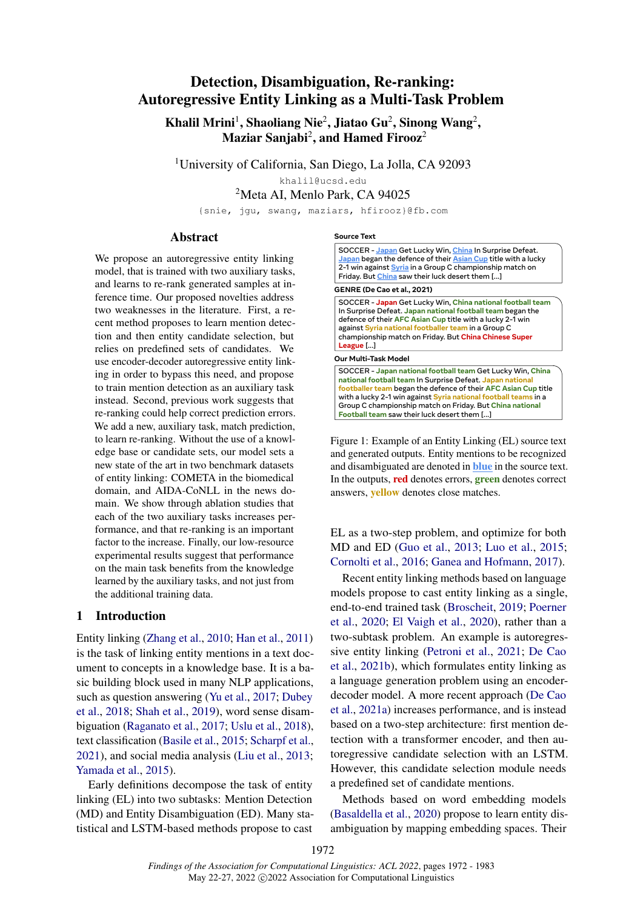# Detection, Disambiguation, Re-ranking: Autoregressive Entity Linking as a Multi-Task Problem

Khalil Mrini<sup>1</sup>, Shaoliang Nie<sup>2</sup>, Jiatao Gu<sup>2</sup>, Sinong Wang<sup>2</sup>, Maziar Sanjabi $^2$ , and Hamed Firooz $^2$ 

<sup>1</sup>University of California, San Diego, La Jolla, CA 92093

khalil@ucsd.edu

<sup>2</sup>Meta AI, Menlo Park, CA 94025

{snie, jgu, swang, maziars, hfirooz}@fb.com

#### Abstract

We propose an autoregressive entity linking model, that is trained with two auxiliary tasks, and learns to re-rank generated samples at inference time. Our proposed novelties address two weaknesses in the literature. First, a recent method proposes to learn mention detection and then entity candidate selection, but relies on predefined sets of candidates. We use encoder-decoder autoregressive entity linking in order to bypass this need, and propose to train mention detection as an auxiliary task instead. Second, previous work suggests that re-ranking could help correct prediction errors. We add a new, auxiliary task, match prediction, to learn re-ranking. Without the use of a knowledge base or candidate sets, our model sets a new state of the art in two benchmark datasets of entity linking: COMETA in the biomedical domain, and AIDA-CoNLL in the news domain. We show through ablation studies that each of the two auxiliary tasks increases performance, and that re-ranking is an important factor to the increase. Finally, our low-resource experimental results suggest that performance on the main task benefits from the knowledge learned by the auxiliary tasks, and not just from the additional training data.

# 1 Introduction

Entity linking [\(Zhang et al.,](#page-11-0) [2010;](#page-11-0) [Han et al.,](#page-9-0) [2011\)](#page-9-0) is the task of linking entity mentions in a text document to concepts in a knowledge base. It is a basic building block used in many NLP applications, such as question answering [\(Yu et al.,](#page-11-1) [2017;](#page-11-1) [Dubey](#page-9-1) [et al.,](#page-9-1) [2018;](#page-9-1) [Shah et al.,](#page-10-0) [2019\)](#page-10-0), word sense disambiguation [\(Raganato et al.,](#page-10-1) [2017;](#page-10-1) [Uslu et al.,](#page-10-2) [2018\)](#page-10-2), text classification [\(Basile et al.,](#page-8-0) [2015;](#page-8-0) [Scharpf et al.,](#page-10-3) [2021\)](#page-10-3), and social media analysis [\(Liu et al.,](#page-9-2) [2013;](#page-9-2) [Yamada et al.,](#page-10-4) [2015\)](#page-10-4).

Early definitions decompose the task of entity linking (EL) into two subtasks: Mention Detection (MD) and Entity Disambiguation (ED). Many statistical and LSTM-based methods propose to cast

#### **Source Text**

SOCCER - **Japan** Get Lucky Win, **China** In Surprise Defeat. **Japan** began the defence of their **Asian Cup** title with a lucky 2-1 win against **Syria** in a Group C championship match on Friday. But **China** saw their luck desert them [...] SOCCER - **Japan** Get Lucky Win, **China national football team** In Surprise Defeat. **Japan national football team** began the **GENRE (De Cao et al., 2021)**

defence of their **AFC Asian Cup** title with a lucky 2-1 win against **Syria national footballer team** in a Group C championship match on Friday. But **China Chinese Super League** [...]

#### **Our Multi-Task Model**

SOCCER - **Japan national football team** Get Lucky Win, **China national football team** In Surprise Defeat. **Japan national footballer team** began the defence of their **AFC Asian Cup** title with a lucky 2-1 win against **Syria national football teams** in a Group C championship match on Friday. But **China national Football team** saw their luck desert them [...]

Figure 1: Example of an Entity Linking (EL) source text and generated outputs. Entity mentions to be recognized and disambiguated are denoted in blue in the source text. In the outputs, red denotes errors, green denotes correct answers, yellow denotes close matches.

EL as a two-step problem, and optimize for both MD and ED [\(Guo et al.,](#page-9-3) [2013;](#page-9-3) [Luo et al.,](#page-9-4) [2015;](#page-9-4) [Cornolti et al.,](#page-8-1) [2016;](#page-8-1) [Ganea and Hofmann,](#page-9-5) [2017\)](#page-9-5).

Recent entity linking methods based on language models propose to cast entity linking as a single, end-to-end trained task [\(Broscheit,](#page-8-2) [2019;](#page-8-2) [Poerner](#page-10-5) [et al.,](#page-10-5) [2020;](#page-10-5) [El Vaigh et al.,](#page-9-6) [2020\)](#page-9-6), rather than a two-subtask problem. An example is autoregressive entity linking [\(Petroni et al.,](#page-10-6) [2021;](#page-10-6) [De Cao](#page-8-3) [et al.,](#page-8-3) [2021b\)](#page-8-3), which formulates entity linking as a language generation problem using an encoderdecoder model. A more recent approach [\(De Cao](#page-8-4) [et al.,](#page-8-4) [2021a\)](#page-8-4) increases performance, and is instead based on a two-step architecture: first mention detection with a transformer encoder, and then autoregressive candidate selection with an LSTM. However, this candidate selection module needs a predefined set of candidate mentions.

Methods based on word embedding models [\(Basaldella et al.,](#page-8-5) [2020\)](#page-8-5) propose to learn entity disambiguation by mapping embedding spaces. Their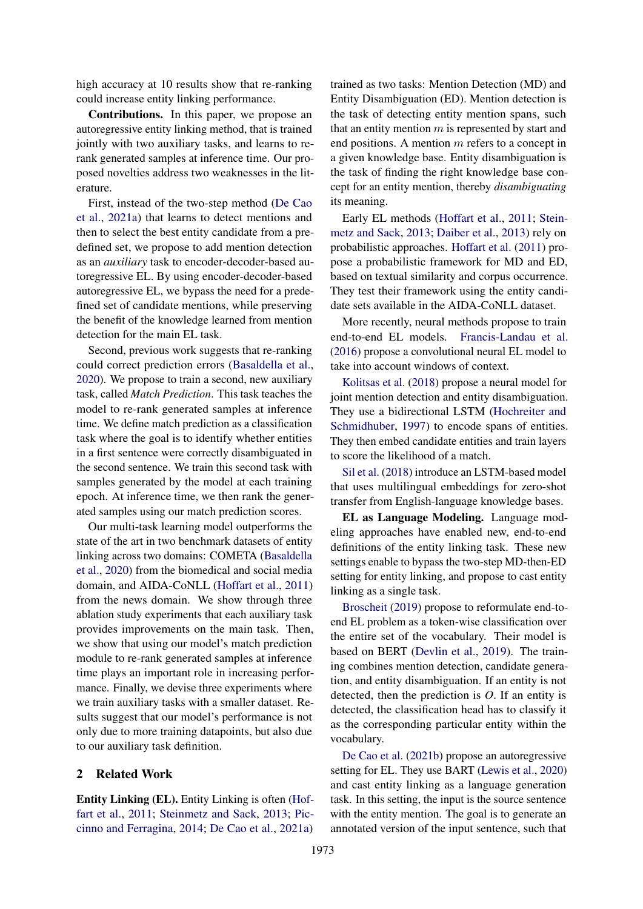high accuracy at 10 results show that re-ranking could increase entity linking performance.

Contributions. In this paper, we propose an autoregressive entity linking method, that is trained jointly with two auxiliary tasks, and learns to rerank generated samples at inference time. Our proposed novelties address two weaknesses in the literature.

First, instead of the two-step method [\(De Cao](#page-8-4) [et al.,](#page-8-4) [2021a\)](#page-8-4) that learns to detect mentions and then to select the best entity candidate from a predefined set, we propose to add mention detection as an *auxiliary* task to encoder-decoder-based autoregressive EL. By using encoder-decoder-based autoregressive EL, we bypass the need for a predefined set of candidate mentions, while preserving the benefit of the knowledge learned from mention detection for the main EL task.

Second, previous work suggests that re-ranking could correct prediction errors [\(Basaldella et al.,](#page-8-5) [2020\)](#page-8-5). We propose to train a second, new auxiliary task, called *Match Prediction*. This task teaches the model to re-rank generated samples at inference time. We define match prediction as a classification task where the goal is to identify whether entities in a first sentence were correctly disambiguated in the second sentence. We train this second task with samples generated by the model at each training epoch. At inference time, we then rank the generated samples using our match prediction scores.

Our multi-task learning model outperforms the state of the art in two benchmark datasets of entity linking across two domains: COMETA [\(Basaldella](#page-8-5) [et al.,](#page-8-5) [2020\)](#page-8-5) from the biomedical and social media domain, and AIDA-CoNLL [\(Hoffart et al.,](#page-9-7) [2011\)](#page-9-7) from the news domain. We show through three ablation study experiments that each auxiliary task provides improvements on the main task. Then, we show that using our model's match prediction module to re-rank generated samples at inference time plays an important role in increasing performance. Finally, we devise three experiments where we train auxiliary tasks with a smaller dataset. Results suggest that our model's performance is not only due to more training datapoints, but also due to our auxiliary task definition.

# 2 Related Work

Entity Linking (EL). Entity Linking is often [\(Hof](#page-9-7)[fart et al.,](#page-9-7) [2011;](#page-9-7) [Steinmetz and Sack,](#page-10-7) [2013;](#page-10-7) [Pic](#page-10-8)[cinno and Ferragina,](#page-10-8) [2014;](#page-10-8) [De Cao et al.,](#page-8-4) [2021a\)](#page-8-4)

trained as two tasks: Mention Detection (MD) and Entity Disambiguation (ED). Mention detection is the task of detecting entity mention spans, such that an entity mention  $m$  is represented by start and end positions. A mention m refers to a concept in a given knowledge base. Entity disambiguation is the task of finding the right knowledge base concept for an entity mention, thereby *disambiguating* its meaning.

Early EL methods [\(Hoffart et al.,](#page-9-7) [2011;](#page-9-7) [Stein](#page-10-7)[metz and Sack,](#page-10-7) [2013;](#page-10-7) [Daiber et al.,](#page-8-6) [2013\)](#page-8-6) rely on probabilistic approaches. [Hoffart et al.](#page-9-7) [\(2011\)](#page-9-7) propose a probabilistic framework for MD and ED, based on textual similarity and corpus occurrence. They test their framework using the entity candidate sets available in the AIDA-CoNLL dataset.

More recently, neural methods propose to train end-to-end EL models. [Francis-Landau et al.](#page-9-8) [\(2016\)](#page-9-8) propose a convolutional neural EL model to take into account windows of context.

[Kolitsas et al.](#page-9-9) [\(2018\)](#page-9-9) propose a neural model for joint mention detection and entity disambiguation. They use a bidirectional LSTM [\(Hochreiter and](#page-9-10) [Schmidhuber,](#page-9-10) [1997\)](#page-9-10) to encode spans of entities. They then embed candidate entities and train layers to score the likelihood of a match.

[Sil et al.](#page-10-9) [\(2018\)](#page-10-9) introduce an LSTM-based model that uses multilingual embeddings for zero-shot transfer from English-language knowledge bases.

EL as Language Modeling. Language modeling approaches have enabled new, end-to-end definitions of the entity linking task. These new settings enable to bypass the two-step MD-then-ED setting for entity linking, and propose to cast entity linking as a single task.

[Broscheit](#page-8-2) [\(2019\)](#page-8-2) propose to reformulate end-toend EL problem as a token-wise classification over the entire set of the vocabulary. Their model is based on BERT [\(Devlin et al.,](#page-8-7) [2019\)](#page-8-7). The training combines mention detection, candidate generation, and entity disambiguation. If an entity is not detected, then the prediction is *O*. If an entity is detected, the classification head has to classify it as the corresponding particular entity within the vocabulary.

[De Cao et al.](#page-8-3) [\(2021b\)](#page-8-3) propose an autoregressive setting for EL. They use BART [\(Lewis et al.,](#page-9-11) [2020\)](#page-9-11) and cast entity linking as a language generation task. In this setting, the input is the source sentence with the entity mention. The goal is to generate an annotated version of the input sentence, such that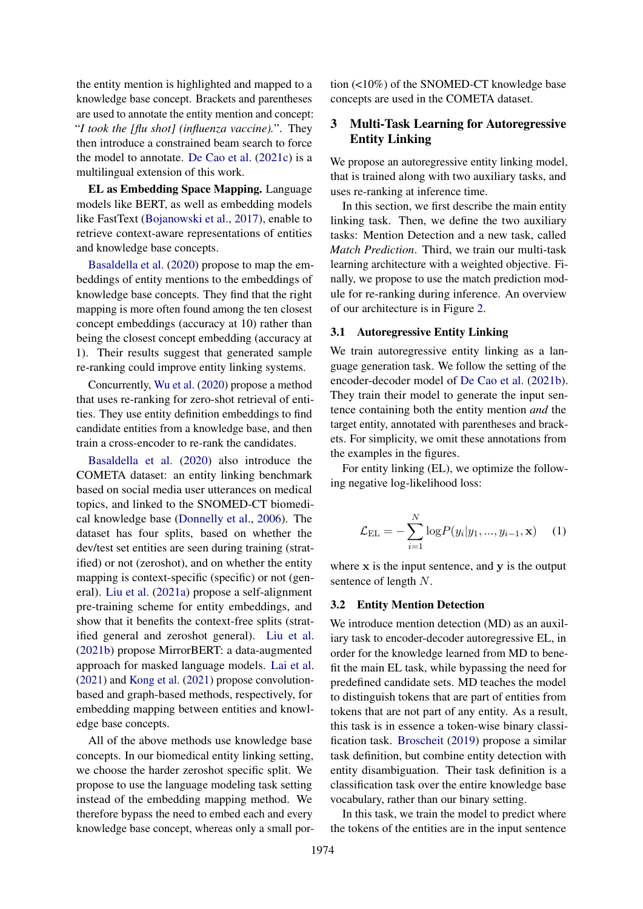the entity mention is highlighted and mapped to a knowledge base concept. Brackets and parentheses are used to annotate the entity mention and concept: "*I took the [flu shot] (influenza vaccine).*". They then introduce a constrained beam search to force the model to annotate. [De Cao et al.](#page-8-8) [\(2021c\)](#page-8-8) is a multilingual extension of this work.

EL as Embedding Space Mapping. Language models like BERT, as well as embedding models like FastText [\(Bojanowski et al.,](#page-8-9) [2017\)](#page-8-9), enable to retrieve context-aware representations of entities and knowledge base concepts.

[Basaldella et al.](#page-8-5) [\(2020\)](#page-8-5) propose to map the embeddings of entity mentions to the embeddings of knowledge base concepts. They find that the right mapping is more often found among the ten closest concept embeddings (accuracy at 10) rather than being the closest concept embedding (accuracy at 1). Their results suggest that generated sample re-ranking could improve entity linking systems.

Concurrently, [Wu et al.](#page-10-10) [\(2020\)](#page-10-10) propose a method that uses re-ranking for zero-shot retrieval of entities. They use entity definition embeddings to find candidate entities from a knowledge base, and then train a cross-encoder to re-rank the candidates.

[Basaldella et al.](#page-8-5) [\(2020\)](#page-8-5) also introduce the COMETA dataset: an entity linking benchmark based on social media user utterances on medical topics, and linked to the SNOMED-CT biomedical knowledge base [\(Donnelly et al.,](#page-8-10) [2006\)](#page-8-10). The dataset has four splits, based on whether the dev/test set entities are seen during training (stratified) or not (zeroshot), and on whether the entity mapping is context-specific (specific) or not (general). [Liu et al.](#page-9-12) [\(2021a\)](#page-9-12) propose a self-alignment pre-training scheme for entity embeddings, and show that it benefits the context-free splits (stratified general and zeroshot general). [Liu et al.](#page-9-13) [\(2021b\)](#page-9-13) propose MirrorBERT: a data-augmented approach for masked language models. [Lai et al.](#page-9-14) [\(2021\)](#page-9-14) and [Kong et al.](#page-9-15) [\(2021\)](#page-9-15) propose convolutionbased and graph-based methods, respectively, for embedding mapping between entities and knowledge base concepts.

All of the above methods use knowledge base concepts. In our biomedical entity linking setting, we choose the harder zeroshot specific split. We propose to use the language modeling task setting instead of the embedding mapping method. We therefore bypass the need to embed each and every knowledge base concept, whereas only a small portion (<10%) of the SNOMED-CT knowledge base concepts are used in the COMETA dataset.

# 3 Multi-Task Learning for Autoregressive Entity Linking

We propose an autoregressive entity linking model, that is trained along with two auxiliary tasks, and uses re-ranking at inference time.

In this section, we first describe the main entity linking task. Then, we define the two auxiliary tasks: Mention Detection and a new task, called *Match Prediction*. Third, we train our multi-task learning architecture with a weighted objective. Finally, we propose to use the match prediction module for re-ranking during inference. An overview of our architecture is in Figure [2.](#page-3-0)

#### 3.1 Autoregressive Entity Linking

We train autoregressive entity linking as a language generation task. We follow the setting of the encoder-decoder model of [De Cao et al.](#page-8-3) [\(2021b\)](#page-8-3). They train their model to generate the input sentence containing both the entity mention *and* the target entity, annotated with parentheses and brackets. For simplicity, we omit these annotations from the examples in the figures.

<span id="page-2-0"></span>For entity linking (EL), we optimize the following negative log-likelihood loss:

$$
\mathcal{L}_{\text{EL}} = -\sum_{i=1}^{N} \log P(y_i | y_1, ..., y_{i-1}, \mathbf{x}) \quad (1)
$$

where  $x$  is the input sentence, and  $y$  is the output sentence of length N.

#### 3.2 Entity Mention Detection

We introduce mention detection (MD) as an auxiliary task to encoder-decoder autoregressive EL, in order for the knowledge learned from MD to benefit the main EL task, while bypassing the need for predefined candidate sets. MD teaches the model to distinguish tokens that are part of entities from tokens that are not part of any entity. As a result, this task is in essence a token-wise binary classification task. [Broscheit](#page-8-2) [\(2019\)](#page-8-2) propose a similar task definition, but combine entity detection with entity disambiguation. Their task definition is a classification task over the entire knowledge base vocabulary, rather than our binary setting.

In this task, we train the model to predict where the tokens of the entities are in the input sentence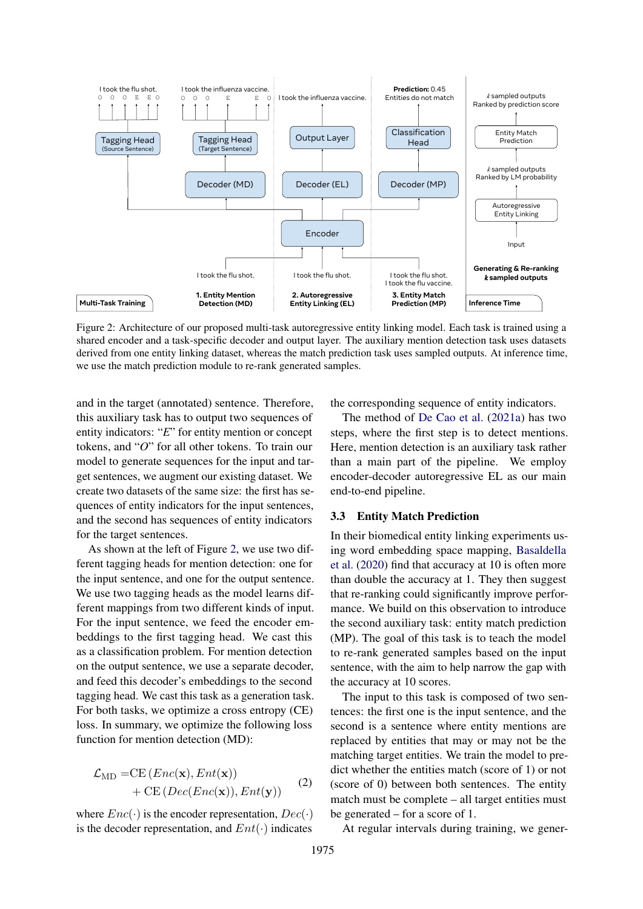<span id="page-3-0"></span>

Figure 2: Architecture of our proposed multi-task autoregressive entity linking model. Each task is trained using a shared encoder and a task-specific decoder and output layer. The auxiliary mention detection task uses datasets derived from one entity linking dataset, whereas the match prediction task uses sampled outputs. At inference time, we use the match prediction module to re-rank generated samples.

and in the target (annotated) sentence. Therefore, this auxiliary task has to output two sequences of entity indicators: "*E*" for entity mention or concept tokens, and "*O*" for all other tokens. To train our model to generate sequences for the input and target sentences, we augment our existing dataset. We create two datasets of the same size: the first has sequences of entity indicators for the input sentences, and the second has sequences of entity indicators for the target sentences.

As shown at the left of Figure [2,](#page-3-0) we use two different tagging heads for mention detection: one for the input sentence, and one for the output sentence. We use two tagging heads as the model learns different mappings from two different kinds of input. For the input sentence, we feed the encoder embeddings to the first tagging head. We cast this as a classification problem. For mention detection on the output sentence, we use a separate decoder, and feed this decoder's embeddings to the second tagging head. We cast this task as a generation task. For both tasks, we optimize a cross entropy (CE) loss. In summary, we optimize the following loss function for mention detection (MD):

<span id="page-3-1"></span>
$$
\mathcal{L}_{MD} = CE \left( Enc(\mathbf{x}), Ent(\mathbf{x}) \right) \n+ CE \left( Dec(Enc(\mathbf{x})), Ent(\mathbf{y}) \right)
$$
\n(2)

where  $Enc(\cdot)$  is the encoder representation,  $Dec(\cdot)$ is the decoder representation, and  $Ent(\cdot)$  indicates the corresponding sequence of entity indicators.

The method of [De Cao et al.](#page-8-4) [\(2021a\)](#page-8-4) has two steps, where the first step is to detect mentions. Here, mention detection is an auxiliary task rather than a main part of the pipeline. We employ encoder-decoder autoregressive EL as our main end-to-end pipeline.

# 3.3 Entity Match Prediction

In their biomedical entity linking experiments using word embedding space mapping, [Basaldella](#page-8-5) [et al.](#page-8-5) [\(2020\)](#page-8-5) find that accuracy at 10 is often more than double the accuracy at 1. They then suggest that re-ranking could significantly improve performance. We build on this observation to introduce the second auxiliary task: entity match prediction (MP). The goal of this task is to teach the model to re-rank generated samples based on the input sentence, with the aim to help narrow the gap with the accuracy at 10 scores.

The input to this task is composed of two sentences: the first one is the input sentence, and the second is a sentence where entity mentions are replaced by entities that may or may not be the matching target entities. We train the model to predict whether the entities match (score of 1) or not (score of 0) between both sentences. The entity match must be complete – all target entities must be generated – for a score of 1.

At regular intervals during training, we gener-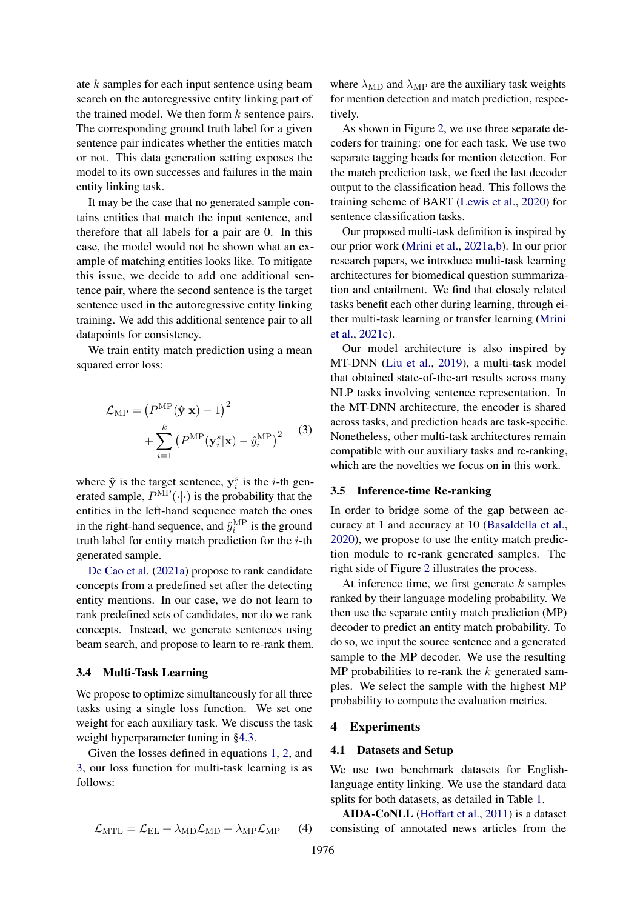ate k samples for each input sentence using beam search on the autoregressive entity linking part of the trained model. We then form  $k$  sentence pairs. The corresponding ground truth label for a given sentence pair indicates whether the entities match or not. This data generation setting exposes the model to its own successes and failures in the main entity linking task.

It may be the case that no generated sample contains entities that match the input sentence, and therefore that all labels for a pair are 0. In this case, the model would not be shown what an example of matching entities looks like. To mitigate this issue, we decide to add one additional sentence pair, where the second sentence is the target sentence used in the autoregressive entity linking training. We add this additional sentence pair to all datapoints for consistency.

<span id="page-4-0"></span>We train entity match prediction using a mean squared error loss:

$$
\mathcal{L}_{\text{MP}} = (P^{\text{MP}}(\hat{\mathbf{y}}|\mathbf{x}) - 1)^2 + \sum_{i=1}^{k} (P^{\text{MP}}(\mathbf{y}_i^s|\mathbf{x}) - \hat{y}_i^{\text{MP}})^2
$$
 (3)

where  $\hat{y}$  is the target sentence,  $y_i^s$  is the *i*-th generated sample,  $P^{MP}(\cdot|\cdot)$  is the probability that the entities in the left-hand sequence match the ones in the right-hand sequence, and  $\hat{y}_i^{\text{MP}}$  is the ground truth label for entity match prediction for the  $i$ -th generated sample.

[De Cao et al.](#page-8-4) [\(2021a\)](#page-8-4) propose to rank candidate concepts from a predefined set after the detecting entity mentions. In our case, we do not learn to rank predefined sets of candidates, nor do we rank concepts. Instead, we generate sentences using beam search, and propose to learn to re-rank them.

## 3.4 Multi-Task Learning

We propose to optimize simultaneously for all three tasks using a single loss function. We set one weight for each auxiliary task. We discuss the task weight hyperparameter tuning in [§4.3.](#page-5-0)

Given the losses defined in equations [1,](#page-2-0) [2,](#page-3-1) and [3,](#page-4-0) our loss function for multi-task learning is as follows:

$$
\mathcal{L}_{\text{MTL}} = \mathcal{L}_{\text{EL}} + \lambda_{\text{MD}} \mathcal{L}_{\text{MD}} + \lambda_{\text{MP}} \mathcal{L}_{\text{MP}} \qquad (4)
$$

where  $\lambda_{\text{MD}}$  and  $\lambda_{\text{MP}}$  are the auxiliary task weights for mention detection and match prediction, respectively.

As shown in Figure [2,](#page-3-0) we use three separate decoders for training: one for each task. We use two separate tagging heads for mention detection. For the match prediction task, we feed the last decoder output to the classification head. This follows the training scheme of BART [\(Lewis et al.,](#page-9-11) [2020\)](#page-9-11) for sentence classification tasks.

Our proposed multi-task definition is inspired by our prior work [\(Mrini et al.,](#page-10-11) [2021a,](#page-10-11)[b\)](#page-10-12). In our prior research papers, we introduce multi-task learning architectures for biomedical question summarization and entailment. We find that closely related tasks benefit each other during learning, through either multi-task learning or transfer learning [\(Mrini](#page-10-13) [et al.,](#page-10-13) [2021c\)](#page-10-13).

Our model architecture is also inspired by MT-DNN [\(Liu et al.,](#page-9-16) [2019\)](#page-9-16), a multi-task model that obtained state-of-the-art results across many NLP tasks involving sentence representation. In the MT-DNN architecture, the encoder is shared across tasks, and prediction heads are task-specific. Nonetheless, other multi-task architectures remain compatible with our auxiliary tasks and re-ranking, which are the novelties we focus on in this work.

# 3.5 Inference-time Re-ranking

In order to bridge some of the gap between accuracy at 1 and accuracy at 10 [\(Basaldella et al.,](#page-8-5) [2020\)](#page-8-5), we propose to use the entity match prediction module to re-rank generated samples. The right side of Figure [2](#page-3-0) illustrates the process.

At inference time, we first generate  $k$  samples ranked by their language modeling probability. We then use the separate entity match prediction (MP) decoder to predict an entity match probability. To do so, we input the source sentence and a generated sample to the MP decoder. We use the resulting MP probabilities to re-rank the  $k$  generated samples. We select the sample with the highest MP probability to compute the evaluation metrics.

## 4 Experiments

#### 4.1 Datasets and Setup

We use two benchmark datasets for Englishlanguage entity linking. We use the standard data splits for both datasets, as detailed in Table [1.](#page-5-1)

AIDA-CoNLL [\(Hoffart et al.,](#page-9-7) [2011\)](#page-9-7) is a dataset consisting of annotated news articles from the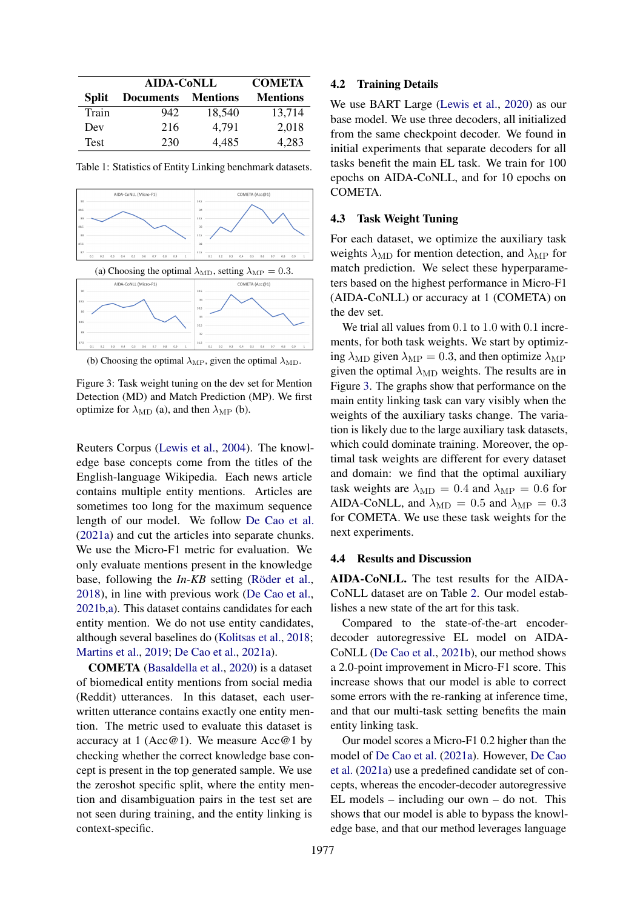<span id="page-5-1"></span>

|              | <b>AIDA-CoNLL</b> | <b>COMETA</b>   |                 |
|--------------|-------------------|-----------------|-----------------|
| <b>Split</b> | <b>Documents</b>  | <b>Mentions</b> | <b>Mentions</b> |
| Train        | 942               | 18,540          | 13,714          |
| Dev          | 216               | 4.791           | 2,018           |
| <b>Test</b>  | 230               | 4.485           | 4,283           |

Table 1: Statistics of Entity Linking benchmark datasets.

<span id="page-5-2"></span>

(b) Choosing the optimal  $\lambda_{\text{MP}}$ , given the optimal  $\lambda_{\text{MD}}$ .

Figure 3: Task weight tuning on the dev set for Mention Detection (MD) and Match Prediction (MP). We first optimize for  $\lambda_{\text{MD}}$  (a), and then  $\lambda_{\text{MP}}$  (b).

Reuters Corpus [\(Lewis et al.,](#page-9-17) [2004\)](#page-9-17). The knowledge base concepts come from the titles of the English-language Wikipedia. Each news article contains multiple entity mentions. Articles are sometimes too long for the maximum sequence length of our model. We follow [De Cao et al.](#page-8-4) [\(2021a\)](#page-8-4) and cut the articles into separate chunks. We use the Micro-F1 metric for evaluation. We only evaluate mentions present in the knowledge base, following the *In-KB* setting [\(Röder et al.,](#page-10-14) [2018\)](#page-10-14), in line with previous work [\(De Cao et al.,](#page-8-3) [2021b,](#page-8-3)[a\)](#page-8-4). This dataset contains candidates for each entity mention. We do not use entity candidates, although several baselines do [\(Kolitsas et al.,](#page-9-9) [2018;](#page-9-9) [Martins et al.,](#page-10-15) [2019;](#page-10-15) [De Cao et al.,](#page-8-4) [2021a\)](#page-8-4).

COMETA [\(Basaldella et al.,](#page-8-5) [2020\)](#page-8-5) is a dataset of biomedical entity mentions from social media (Reddit) utterances. In this dataset, each userwritten utterance contains exactly one entity mention. The metric used to evaluate this dataset is accuracy at 1 (Acc@1). We measure  $Acc@1$  by checking whether the correct knowledge base concept is present in the top generated sample. We use the zeroshot specific split, where the entity mention and disambiguation pairs in the test set are not seen during training, and the entity linking is context-specific.

#### 4.2 Training Details

We use BART Large [\(Lewis et al.,](#page-9-11) [2020\)](#page-9-11) as our base model. We use three decoders, all initialized from the same checkpoint decoder. We found in initial experiments that separate decoders for all tasks benefit the main EL task. We train for 100 epochs on AIDA-CoNLL, and for 10 epochs on COMETA.

# <span id="page-5-0"></span>4.3 Task Weight Tuning

For each dataset, we optimize the auxiliary task weights  $\lambda_{\text{MD}}$  for mention detection, and  $\lambda_{\text{MP}}$  for match prediction. We select these hyperparameters based on the highest performance in Micro-F1 (AIDA-CoNLL) or accuracy at 1 (COMETA) on the dev set.

We trial all values from 0.1 to 1.0 with 0.1 increments, for both task weights. We start by optimizing  $\lambda_{\text{MD}}$  given  $\lambda_{\text{MP}} = 0.3$ , and then optimize  $\lambda_{\text{MP}}$ given the optimal  $\lambda_{\text{MD}}$  weights. The results are in Figure [3.](#page-5-2) The graphs show that performance on the main entity linking task can vary visibly when the weights of the auxiliary tasks change. The variation is likely due to the large auxiliary task datasets, which could dominate training. Moreover, the optimal task weights are different for every dataset and domain: we find that the optimal auxiliary task weights are  $\lambda_{\rm MD} = 0.4$  and  $\lambda_{\rm MP} = 0.6$  for AIDA-CoNLL, and  $\lambda_{MD} = 0.5$  and  $\lambda_{MP} = 0.3$ for COMETA. We use these task weights for the next experiments.

#### 4.4 Results and Discussion

AIDA-CoNLL. The test results for the AIDA-CoNLL dataset are on Table [2.](#page-6-0) Our model establishes a new state of the art for this task.

Compared to the state-of-the-art encoderdecoder autoregressive EL model on AIDA-CoNLL [\(De Cao et al.,](#page-8-3) [2021b\)](#page-8-3), our method shows a 2.0-point improvement in Micro-F1 score. This increase shows that our model is able to correct some errors with the re-ranking at inference time, and that our multi-task setting benefits the main entity linking task.

Our model scores a Micro-F1 0.2 higher than the model of [De Cao et al.](#page-8-4) [\(2021a\)](#page-8-4). However, [De Cao](#page-8-4) [et al.](#page-8-4) [\(2021a\)](#page-8-4) use a predefined candidate set of concepts, whereas the encoder-decoder autoregressive EL models – including our own – do not. This shows that our model is able to bypass the knowledge base, and that our method leverages language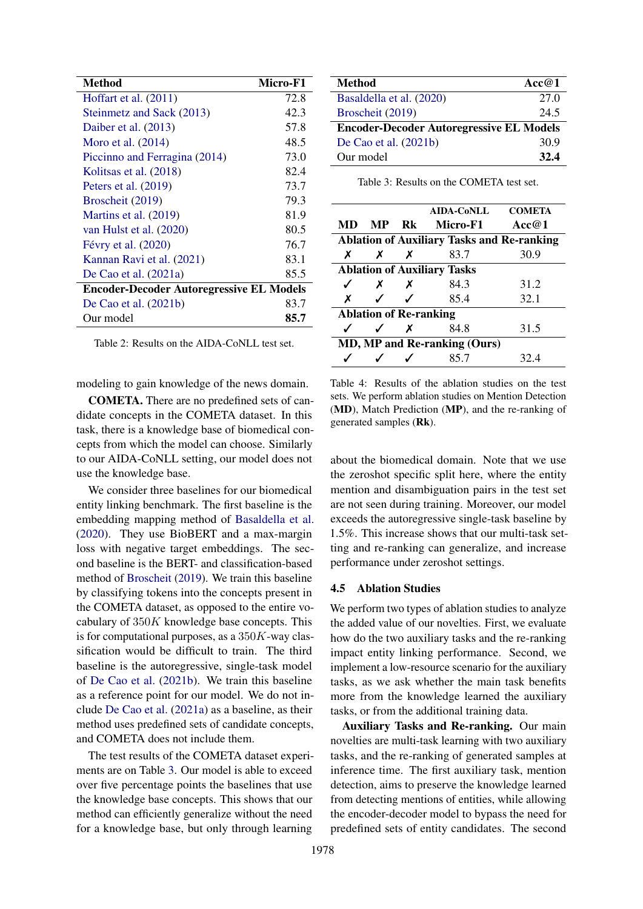<span id="page-6-0"></span>

| Method                                          | Micro-F1 |  |  |
|-------------------------------------------------|----------|--|--|
| Hoffart et al. (2011)                           | 72.8     |  |  |
| Steinmetz and Sack (2013)                       | 42.3     |  |  |
| Daiber et al. (2013)                            | 57.8     |  |  |
| Moro et al. $(2014)$                            | 48.5     |  |  |
| Piccinno and Ferragina (2014)                   | 73.0     |  |  |
| Kolitsas et al. (2018)                          | 82.4     |  |  |
| Peters et al. $(2019)$                          | 73.7     |  |  |
| Broscheit (2019)                                | 79.3     |  |  |
| Martins et al. (2019)                           | 81.9     |  |  |
| van Hulst et al. (2020)                         | 80.5     |  |  |
| Févry et al. (2020)                             | 76.7     |  |  |
| Kannan Ravi et al. (2021)                       | 83.1     |  |  |
| De Cao et al. $(2021a)$                         | 85.5     |  |  |
| <b>Encoder-Decoder Autoregressive EL Models</b> |          |  |  |
| De Cao et al. $(2021b)$                         | 83.7     |  |  |
| Our model                                       | 85.7     |  |  |

Table 2: Results on the AIDA-CoNLL test set.

modeling to gain knowledge of the news domain.

COMETA. There are no predefined sets of candidate concepts in the COMETA dataset. In this task, there is a knowledge base of biomedical concepts from which the model can choose. Similarly to our AIDA-CoNLL setting, our model does not use the knowledge base.

We consider three baselines for our biomedical entity linking benchmark. The first baseline is the embedding mapping method of [Basaldella et al.](#page-8-5) [\(2020\)](#page-8-5). They use BioBERT and a max-margin loss with negative target embeddings. The second baseline is the BERT- and classification-based method of [Broscheit](#page-8-2) [\(2019\)](#page-8-2). We train this baseline by classifying tokens into the concepts present in the COMETA dataset, as opposed to the entire vocabulary of  $350K$  knowledge base concepts. This is for computational purposes, as a  $350K$ -way classification would be difficult to train. The third baseline is the autoregressive, single-task model of [De Cao et al.](#page-8-3) [\(2021b\)](#page-8-3). We train this baseline as a reference point for our model. We do not include [De Cao et al.](#page-8-4) [\(2021a\)](#page-8-4) as a baseline, as their method uses predefined sets of candidate concepts, and COMETA does not include them.

The test results of the COMETA dataset experiments are on Table [3.](#page-6-1) Our model is able to exceed over five percentage points the baselines that use the knowledge base concepts. This shows that our method can efficiently generalize without the need for a knowledge base, but only through learning

<span id="page-6-1"></span>

| Method                                          | Acc@1 |  |  |
|-------------------------------------------------|-------|--|--|
| Basaldella et al. (2020)                        | 27.0  |  |  |
| Broscheit (2019)                                | 24.5  |  |  |
| <b>Encoder-Decoder Autoregressive EL Models</b> |       |  |  |
| De Cao et al. $(2021b)$                         | 30.9  |  |  |
| Our model                                       | 32.4  |  |  |

Table 3: Results on the COMETA test set.

<span id="page-6-2"></span>

|                                                   |                            |                           | <b>AIDA-CoNLL</b> | <b>COMETA</b> |  |
|---------------------------------------------------|----------------------------|---------------------------|-------------------|---------------|--|
| MD                                                | <b>MP</b>                  |                           | Rk Micro-F1       | Acc $@1$      |  |
| <b>Ablation of Auxiliary Tasks and Re-ranking</b> |                            |                           |                   |               |  |
| X                                                 | X                          | $\boldsymbol{X}$          | 83.7              | 30.9          |  |
| <b>Ablation of Auxiliary Tasks</b>                |                            |                           |                   |               |  |
| ✓                                                 | $\boldsymbol{X}$           | $\boldsymbol{\mathsf{x}}$ | 84.3              | 31.2          |  |
| X                                                 | $\boldsymbol{\mathcal{J}}$ | ✓                         | 85.4              | 32.1          |  |
| <b>Ablation of Re-ranking</b>                     |                            |                           |                   |               |  |
|                                                   |                            | $\boldsymbol{\mathsf{x}}$ | 84.8              | 31.5          |  |
| MD, MP and Re-ranking (Ours)                      |                            |                           |                   |               |  |
|                                                   |                            |                           | 85.7              | 32.4          |  |

Table 4: Results of the ablation studies on the test sets. We perform ablation studies on Mention Detection (MD), Match Prediction (MP), and the re-ranking of generated samples (Rk).

about the biomedical domain. Note that we use the zeroshot specific split here, where the entity mention and disambiguation pairs in the test set are not seen during training. Moreover, our model exceeds the autoregressive single-task baseline by 1.5%. This increase shows that our multi-task setting and re-ranking can generalize, and increase performance under zeroshot settings.

# 4.5 Ablation Studies

We perform two types of ablation studies to analyze the added value of our novelties. First, we evaluate how do the two auxiliary tasks and the re-ranking impact entity linking performance. Second, we implement a low-resource scenario for the auxiliary tasks, as we ask whether the main task benefits more from the knowledge learned the auxiliary tasks, or from the additional training data.

Auxiliary Tasks and Re-ranking. Our main novelties are multi-task learning with two auxiliary tasks, and the re-ranking of generated samples at inference time. The first auxiliary task, mention detection, aims to preserve the knowledge learned from detecting mentions of entities, while allowing the encoder-decoder model to bypass the need for predefined sets of entity candidates. The second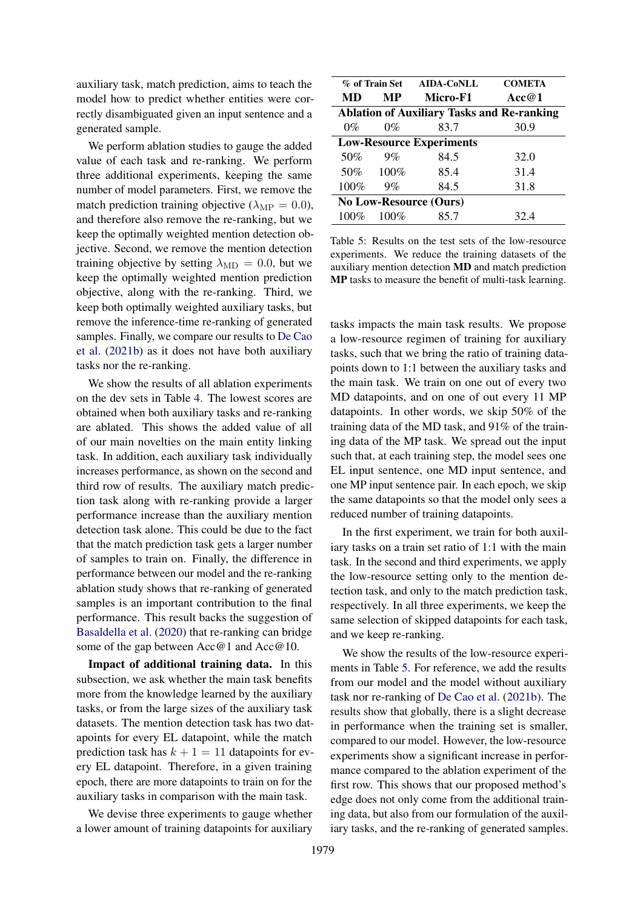auxiliary task, match prediction, aims to teach the model how to predict whether entities were correctly disambiguated given an input sentence and a generated sample.

We perform ablation studies to gauge the added value of each task and re-ranking. We perform three additional experiments, keeping the same number of model parameters. First, we remove the match prediction training objective ( $\lambda_{\text{MP}} = 0.0$ ), and therefore also remove the re-ranking, but we keep the optimally weighted mention detection objective. Second, we remove the mention detection training objective by setting  $\lambda_{\rm MD} = 0.0$ , but we keep the optimally weighted mention prediction objective, along with the re-ranking. Third, we keep both optimally weighted auxiliary tasks, but remove the inference-time re-ranking of generated samples. Finally, we compare our results to [De Cao](#page-8-3) [et al.](#page-8-3) [\(2021b\)](#page-8-3) as it does not have both auxiliary tasks nor the re-ranking.

We show the results of all ablation experiments on the dev sets in Table [4.](#page-6-2) The lowest scores are obtained when both auxiliary tasks and re-ranking are ablated. This shows the added value of all of our main novelties on the main entity linking task. In addition, each auxiliary task individually increases performance, as shown on the second and third row of results. The auxiliary match prediction task along with re-ranking provide a larger performance increase than the auxiliary mention detection task alone. This could be due to the fact that the match prediction task gets a larger number of samples to train on. Finally, the difference in performance between our model and the re-ranking ablation study shows that re-ranking of generated samples is an important contribution to the final performance. This result backs the suggestion of [Basaldella et al.](#page-8-5) [\(2020\)](#page-8-5) that re-ranking can bridge some of the gap between  $Acc@1$  and  $Acc@10$ .

Impact of additional training data. In this subsection, we ask whether the main task benefits more from the knowledge learned by the auxiliary tasks, or from the large sizes of the auxiliary task datasets. The mention detection task has two datapoints for every EL datapoint, while the match prediction task has  $k + 1 = 11$  datapoints for every EL datapoint. Therefore, in a given training epoch, there are more datapoints to train on for the auxiliary tasks in comparison with the main task.

We devise three experiments to gauge whether a lower amount of training datapoints for auxiliary

<span id="page-7-0"></span>

| % of Train Set AIDA-CoNLL                         |         |          | <b>COMETA</b> |  |  |
|---------------------------------------------------|---------|----------|---------------|--|--|
| MD                                                | MР      | Micro-F1 | Acc@1         |  |  |
| <b>Ablation of Auxiliary Tasks and Re-ranking</b> |         |          |               |  |  |
| $0\%$                                             | $0\%$   | 83.7     | 30.9          |  |  |
| <b>Low-Resource Experiments</b>                   |         |          |               |  |  |
| 50%                                               | $9\%$   | 84.5     | 32.0          |  |  |
| 50%                                               | $100\%$ | 85.4     | 31.4          |  |  |
| 100%                                              | 9%      | 84.5     | 31.8          |  |  |
| <b>No Low-Resource (Ours)</b>                     |         |          |               |  |  |
| $100\%$                                           | 100%    | 85.7     | 32.4          |  |  |

Table 5: Results on the test sets of the low-resource experiments. We reduce the training datasets of the auxiliary mention detection MD and match prediction MP tasks to measure the benefit of multi-task learning.

tasks impacts the main task results. We propose a low-resource regimen of training for auxiliary tasks, such that we bring the ratio of training datapoints down to 1:1 between the auxiliary tasks and the main task. We train on one out of every two MD datapoints, and on one of out every 11 MP datapoints. In other words, we skip 50% of the training data of the MD task, and 91% of the training data of the MP task. We spread out the input such that, at each training step, the model sees one EL input sentence, one MD input sentence, and one MP input sentence pair. In each epoch, we skip the same datapoints so that the model only sees a reduced number of training datapoints.

In the first experiment, we train for both auxiliary tasks on a train set ratio of 1:1 with the main task. In the second and third experiments, we apply the low-resource setting only to the mention detection task, and only to the match prediction task, respectively. In all three experiments, we keep the same selection of skipped datapoints for each task, and we keep re-ranking.

We show the results of the low-resource experiments in Table [5.](#page-7-0) For reference, we add the results from our model and the model without auxiliary task nor re-ranking of [De Cao et al.](#page-8-3) [\(2021b\)](#page-8-3). The results show that globally, there is a slight decrease in performance when the training set is smaller, compared to our model. However, the low-resource experiments show a significant increase in performance compared to the ablation experiment of the first row. This shows that our proposed method's edge does not only come from the additional training data, but also from our formulation of the auxiliary tasks, and the re-ranking of generated samples.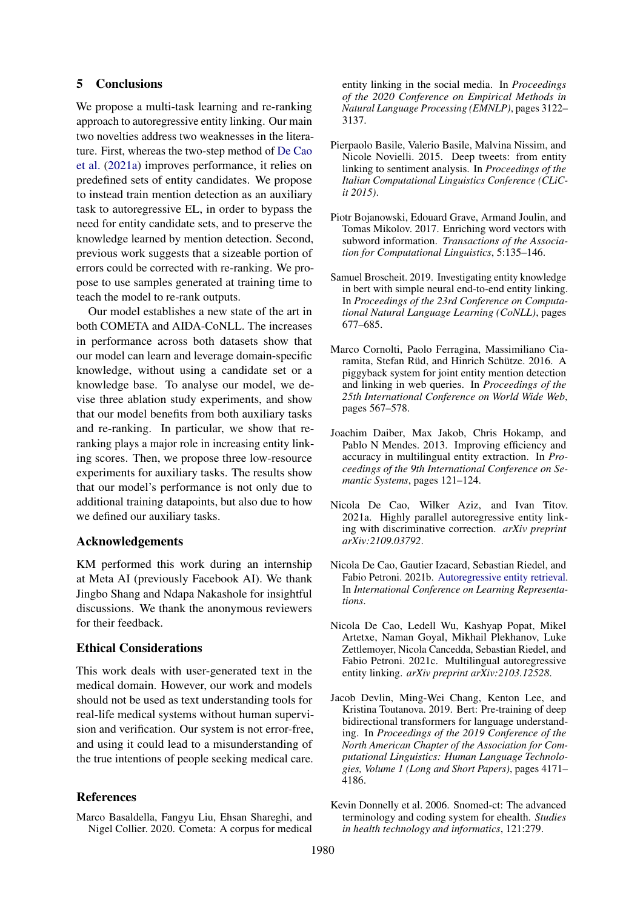# 5 Conclusions

We propose a multi-task learning and re-ranking approach to autoregressive entity linking. Our main two novelties address two weaknesses in the literature. First, whereas the two-step method of [De Cao](#page-8-4) [et al.](#page-8-4) [\(2021a\)](#page-8-4) improves performance, it relies on predefined sets of entity candidates. We propose to instead train mention detection as an auxiliary task to autoregressive EL, in order to bypass the need for entity candidate sets, and to preserve the knowledge learned by mention detection. Second, previous work suggests that a sizeable portion of errors could be corrected with re-ranking. We propose to use samples generated at training time to teach the model to re-rank outputs.

Our model establishes a new state of the art in both COMETA and AIDA-CoNLL. The increases in performance across both datasets show that our model can learn and leverage domain-specific knowledge, without using a candidate set or a knowledge base. To analyse our model, we devise three ablation study experiments, and show that our model benefits from both auxiliary tasks and re-ranking. In particular, we show that reranking plays a major role in increasing entity linking scores. Then, we propose three low-resource experiments for auxiliary tasks. The results show that our model's performance is not only due to additional training datapoints, but also due to how we defined our auxiliary tasks.

#### Acknowledgements

KM performed this work during an internship at Meta AI (previously Facebook AI). We thank Jingbo Shang and Ndapa Nakashole for insightful discussions. We thank the anonymous reviewers for their feedback.

### Ethical Considerations

This work deals with user-generated text in the medical domain. However, our work and models should not be used as text understanding tools for real-life medical systems without human supervision and verification. Our system is not error-free, and using it could lead to a misunderstanding of the true intentions of people seeking medical care.

#### References

<span id="page-8-5"></span>Marco Basaldella, Fangyu Liu, Ehsan Shareghi, and Nigel Collier. 2020. Cometa: A corpus for medical

entity linking in the social media. In *Proceedings of the 2020 Conference on Empirical Methods in Natural Language Processing (EMNLP)*, pages 3122– 3137.

- <span id="page-8-0"></span>Pierpaolo Basile, Valerio Basile, Malvina Nissim, and Nicole Novielli. 2015. Deep tweets: from entity linking to sentiment analysis. In *Proceedings of the Italian Computational Linguistics Conference (CLiCit 2015)*.
- <span id="page-8-9"></span>Piotr Bojanowski, Edouard Grave, Armand Joulin, and Tomas Mikolov. 2017. Enriching word vectors with subword information. *Transactions of the Association for Computational Linguistics*, 5:135–146.
- <span id="page-8-2"></span>Samuel Broscheit. 2019. Investigating entity knowledge in bert with simple neural end-to-end entity linking. In *Proceedings of the 23rd Conference on Computational Natural Language Learning (CoNLL)*, pages 677–685.
- <span id="page-8-1"></span>Marco Cornolti, Paolo Ferragina, Massimiliano Ciaramita, Stefan Rüd, and Hinrich Schütze. 2016. A piggyback system for joint entity mention detection and linking in web queries. In *Proceedings of the 25th International Conference on World Wide Web*, pages 567–578.
- <span id="page-8-6"></span>Joachim Daiber, Max Jakob, Chris Hokamp, and Pablo N Mendes. 2013. Improving efficiency and accuracy in multilingual entity extraction. In *Proceedings of the 9th International Conference on Semantic Systems*, pages 121–124.
- <span id="page-8-4"></span>Nicola De Cao, Wilker Aziz, and Ivan Titov. 2021a. Highly parallel autoregressive entity linking with discriminative correction. *arXiv preprint arXiv:2109.03792*.
- <span id="page-8-3"></span>Nicola De Cao, Gautier Izacard, Sebastian Riedel, and Fabio Petroni. 2021b. [Autoregressive entity retrieval.](https://openreview.net/forum?id=5k8F6UU39V) In *International Conference on Learning Representations*.
- <span id="page-8-8"></span>Nicola De Cao, Ledell Wu, Kashyap Popat, Mikel Artetxe, Naman Goyal, Mikhail Plekhanov, Luke Zettlemoyer, Nicola Cancedda, Sebastian Riedel, and Fabio Petroni. 2021c. Multilingual autoregressive entity linking. *arXiv preprint arXiv:2103.12528*.
- <span id="page-8-7"></span>Jacob Devlin, Ming-Wei Chang, Kenton Lee, and Kristina Toutanova. 2019. Bert: Pre-training of deep bidirectional transformers for language understanding. In *Proceedings of the 2019 Conference of the North American Chapter of the Association for Computational Linguistics: Human Language Technologies, Volume 1 (Long and Short Papers)*, pages 4171– 4186.
- <span id="page-8-10"></span>Kevin Donnelly et al. 2006. Snomed-ct: The advanced terminology and coding system for ehealth. *Studies in health technology and informatics*, 121:279.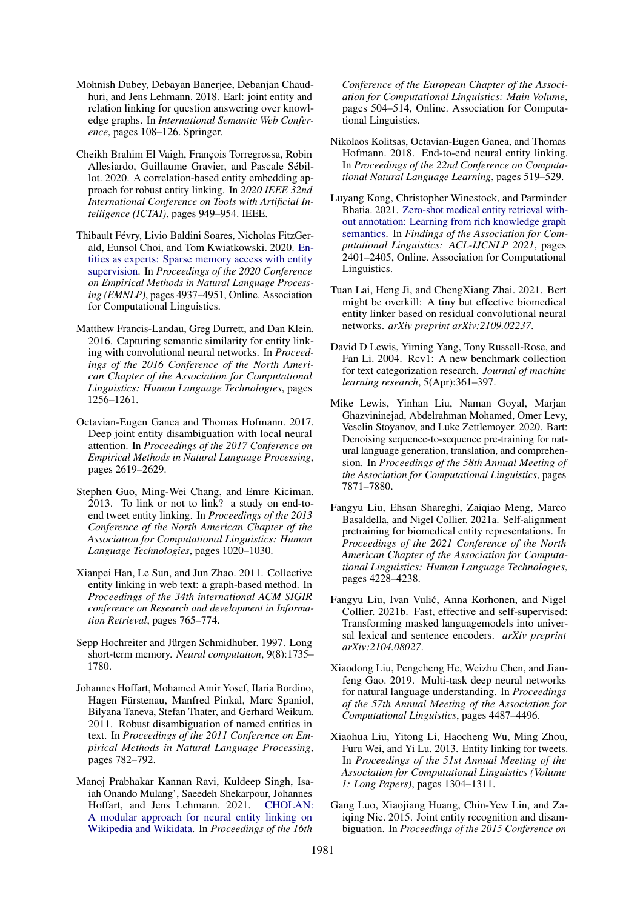- <span id="page-9-1"></span>Mohnish Dubey, Debayan Banerjee, Debanjan Chaudhuri, and Jens Lehmann. 2018. Earl: joint entity and relation linking for question answering over knowledge graphs. In *International Semantic Web Conference*, pages 108–126. Springer.
- <span id="page-9-6"></span>Cheikh Brahim El Vaigh, François Torregrossa, Robin Allesiardo, Guillaume Gravier, and Pascale Sébillot. 2020. A correlation-based entity embedding approach for robust entity linking. In *2020 IEEE 32nd International Conference on Tools with Artificial Intelligence (ICTAI)*, pages 949–954. IEEE.
- <span id="page-9-18"></span>Thibault Févry, Livio Baldini Soares, Nicholas FitzGerald, Eunsol Choi, and Tom Kwiatkowski. 2020. [En](https://doi.org/10.18653/v1/2020.emnlp-main.400)[tities as experts: Sparse memory access with entity](https://doi.org/10.18653/v1/2020.emnlp-main.400) [supervision.](https://doi.org/10.18653/v1/2020.emnlp-main.400) In *Proceedings of the 2020 Conference on Empirical Methods in Natural Language Processing (EMNLP)*, pages 4937–4951, Online. Association for Computational Linguistics.
- <span id="page-9-8"></span>Matthew Francis-Landau, Greg Durrett, and Dan Klein. 2016. Capturing semantic similarity for entity linking with convolutional neural networks. In *Proceedings of the 2016 Conference of the North American Chapter of the Association for Computational Linguistics: Human Language Technologies*, pages 1256–1261.
- <span id="page-9-5"></span>Octavian-Eugen Ganea and Thomas Hofmann. 2017. Deep joint entity disambiguation with local neural attention. In *Proceedings of the 2017 Conference on Empirical Methods in Natural Language Processing*, pages 2619–2629.
- <span id="page-9-3"></span>Stephen Guo, Ming-Wei Chang, and Emre Kiciman. 2013. To link or not to link? a study on end-toend tweet entity linking. In *Proceedings of the 2013 Conference of the North American Chapter of the Association for Computational Linguistics: Human Language Technologies*, pages 1020–1030.
- <span id="page-9-0"></span>Xianpei Han, Le Sun, and Jun Zhao. 2011. Collective entity linking in web text: a graph-based method. In *Proceedings of the 34th international ACM SIGIR conference on Research and development in Information Retrieval*, pages 765–774.
- <span id="page-9-10"></span>Sepp Hochreiter and Jürgen Schmidhuber. 1997. Long short-term memory. *Neural computation*, 9(8):1735– 1780.
- <span id="page-9-7"></span>Johannes Hoffart, Mohamed Amir Yosef, Ilaria Bordino, Hagen Fürstenau, Manfred Pinkal, Marc Spaniol, Bilyana Taneva, Stefan Thater, and Gerhard Weikum. 2011. Robust disambiguation of named entities in text. In *Proceedings of the 2011 Conference on Empirical Methods in Natural Language Processing*, pages 782–792.
- <span id="page-9-19"></span>Manoj Prabhakar Kannan Ravi, Kuldeep Singh, Isaiah Onando Mulang', Saeedeh Shekarpour, Johannes Hoffart, and Jens Lehmann. 2021. [CHOLAN:](https://doi.org/10.18653/v1/2021.eacl-main.40) [A modular approach for neural entity linking on](https://doi.org/10.18653/v1/2021.eacl-main.40) [Wikipedia and Wikidata.](https://doi.org/10.18653/v1/2021.eacl-main.40) In *Proceedings of the 16th*

*Conference of the European Chapter of the Association for Computational Linguistics: Main Volume*, pages 504–514, Online. Association for Computational Linguistics.

- <span id="page-9-9"></span>Nikolaos Kolitsas, Octavian-Eugen Ganea, and Thomas Hofmann. 2018. End-to-end neural entity linking. In *Proceedings of the 22nd Conference on Computational Natural Language Learning*, pages 519–529.
- <span id="page-9-15"></span>Luyang Kong, Christopher Winestock, and Parminder Bhatia. 2021. [Zero-shot medical entity retrieval with](https://doi.org/10.18653/v1/2021.findings-acl.212)[out annotation: Learning from rich knowledge graph](https://doi.org/10.18653/v1/2021.findings-acl.212) [semantics.](https://doi.org/10.18653/v1/2021.findings-acl.212) In *Findings of the Association for Computational Linguistics: ACL-IJCNLP 2021*, pages 2401–2405, Online. Association for Computational Linguistics.
- <span id="page-9-14"></span>Tuan Lai, Heng Ji, and ChengXiang Zhai. 2021. Bert might be overkill: A tiny but effective biomedical entity linker based on residual convolutional neural networks. *arXiv preprint arXiv:2109.02237*.
- <span id="page-9-17"></span>David D Lewis, Yiming Yang, Tony Russell-Rose, and Fan Li. 2004. Rcv1: A new benchmark collection for text categorization research. *Journal of machine learning research*, 5(Apr):361–397.
- <span id="page-9-11"></span>Mike Lewis, Yinhan Liu, Naman Goyal, Marjan Ghazvininejad, Abdelrahman Mohamed, Omer Levy, Veselin Stoyanov, and Luke Zettlemoyer. 2020. Bart: Denoising sequence-to-sequence pre-training for natural language generation, translation, and comprehension. In *Proceedings of the 58th Annual Meeting of the Association for Computational Linguistics*, pages 7871–7880.
- <span id="page-9-12"></span>Fangyu Liu, Ehsan Shareghi, Zaiqiao Meng, Marco Basaldella, and Nigel Collier. 2021a. Self-alignment pretraining for biomedical entity representations. In *Proceedings of the 2021 Conference of the North American Chapter of the Association for Computational Linguistics: Human Language Technologies*, pages 4228–4238.
- <span id="page-9-13"></span>Fangyu Liu, Ivan Vulic, Anna Korhonen, and Nigel ´ Collier. 2021b. Fast, effective and self-supervised: Transforming masked languagemodels into universal lexical and sentence encoders. *arXiv preprint arXiv:2104.08027*.
- <span id="page-9-16"></span>Xiaodong Liu, Pengcheng He, Weizhu Chen, and Jianfeng Gao. 2019. Multi-task deep neural networks for natural language understanding. In *Proceedings of the 57th Annual Meeting of the Association for Computational Linguistics*, pages 4487–4496.
- <span id="page-9-2"></span>Xiaohua Liu, Yitong Li, Haocheng Wu, Ming Zhou, Furu Wei, and Yi Lu. 2013. Entity linking for tweets. In *Proceedings of the 51st Annual Meeting of the Association for Computational Linguistics (Volume 1: Long Papers)*, pages 1304–1311.
- <span id="page-9-4"></span>Gang Luo, Xiaojiang Huang, Chin-Yew Lin, and Zaiqing Nie. 2015. Joint entity recognition and disambiguation. In *Proceedings of the 2015 Conference on*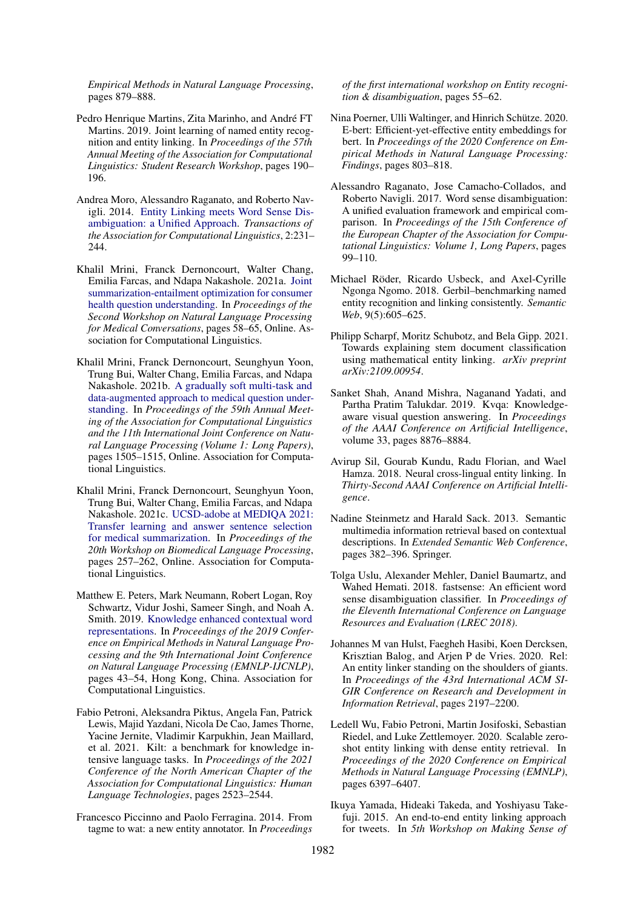*Empirical Methods in Natural Language Processing*, pages 879–888.

- <span id="page-10-15"></span>Pedro Henrique Martins, Zita Marinho, and André FT Martins. 2019. Joint learning of named entity recognition and entity linking. In *Proceedings of the 57th Annual Meeting of the Association for Computational Linguistics: Student Research Workshop*, pages 190– 196.
- <span id="page-10-16"></span>Andrea Moro, Alessandro Raganato, and Roberto Navigli. 2014. [Entity Linking meets Word Sense Dis](https://doi.org/10.1162/tacl_a_00179)[ambiguation: a Unified Approach.](https://doi.org/10.1162/tacl_a_00179) *Transactions of the Association for Computational Linguistics*, 2:231– 244.
- <span id="page-10-11"></span>Khalil Mrini, Franck Dernoncourt, Walter Chang, Emilia Farcas, and Ndapa Nakashole. 2021a. [Joint](https://doi.org/10.18653/v1/2021.nlpmc-1.8) [summarization-entailment optimization for consumer](https://doi.org/10.18653/v1/2021.nlpmc-1.8) [health question understanding.](https://doi.org/10.18653/v1/2021.nlpmc-1.8) In *Proceedings of the Second Workshop on Natural Language Processing for Medical Conversations*, pages 58–65, Online. Association for Computational Linguistics.
- <span id="page-10-12"></span>Khalil Mrini, Franck Dernoncourt, Seunghyun Yoon, Trung Bui, Walter Chang, Emilia Farcas, and Ndapa Nakashole. 2021b. [A gradually soft multi-task and](https://doi.org/10.18653/v1/2021.acl-long.119) [data-augmented approach to medical question under](https://doi.org/10.18653/v1/2021.acl-long.119)[standing.](https://doi.org/10.18653/v1/2021.acl-long.119) In *Proceedings of the 59th Annual Meeting of the Association for Computational Linguistics and the 11th International Joint Conference on Natural Language Processing (Volume 1: Long Papers)*, pages 1505–1515, Online. Association for Computational Linguistics.
- <span id="page-10-13"></span>Khalil Mrini, Franck Dernoncourt, Seunghyun Yoon, Trung Bui, Walter Chang, Emilia Farcas, and Ndapa Nakashole. 2021c. [UCSD-adobe at MEDIQA 2021:](https://doi.org/10.18653/v1/2021.bionlp-1.28) [Transfer learning and answer sentence selection](https://doi.org/10.18653/v1/2021.bionlp-1.28) [for medical summarization.](https://doi.org/10.18653/v1/2021.bionlp-1.28) In *Proceedings of the 20th Workshop on Biomedical Language Processing*, pages 257–262, Online. Association for Computational Linguistics.
- <span id="page-10-17"></span>Matthew E. Peters, Mark Neumann, Robert Logan, Roy Schwartz, Vidur Joshi, Sameer Singh, and Noah A. Smith. 2019. [Knowledge enhanced contextual word](https://doi.org/10.18653/v1/D19-1005) [representations.](https://doi.org/10.18653/v1/D19-1005) In *Proceedings of the 2019 Conference on Empirical Methods in Natural Language Processing and the 9th International Joint Conference on Natural Language Processing (EMNLP-IJCNLP)*, pages 43–54, Hong Kong, China. Association for Computational Linguistics.
- <span id="page-10-6"></span>Fabio Petroni, Aleksandra Piktus, Angela Fan, Patrick Lewis, Majid Yazdani, Nicola De Cao, James Thorne, Yacine Jernite, Vladimir Karpukhin, Jean Maillard, et al. 2021. Kilt: a benchmark for knowledge intensive language tasks. In *Proceedings of the 2021 Conference of the North American Chapter of the Association for Computational Linguistics: Human Language Technologies*, pages 2523–2544.
- <span id="page-10-8"></span>Francesco Piccinno and Paolo Ferragina. 2014. From tagme to wat: a new entity annotator. In *Proceedings*

*of the first international workshop on Entity recognition & disambiguation*, pages 55–62.

- <span id="page-10-5"></span>Nina Poerner, Ulli Waltinger, and Hinrich Schütze. 2020. E-bert: Efficient-yet-effective entity embeddings for bert. In *Proceedings of the 2020 Conference on Empirical Methods in Natural Language Processing: Findings*, pages 803–818.
- <span id="page-10-1"></span>Alessandro Raganato, Jose Camacho-Collados, and Roberto Navigli. 2017. Word sense disambiguation: A unified evaluation framework and empirical comparison. In *Proceedings of the 15th Conference of the European Chapter of the Association for Computational Linguistics: Volume 1, Long Papers*, pages 99–110.
- <span id="page-10-14"></span>Michael Röder, Ricardo Usbeck, and Axel-Cyrille Ngonga Ngomo. 2018. Gerbil–benchmarking named entity recognition and linking consistently. *Semantic Web*, 9(5):605–625.
- <span id="page-10-3"></span>Philipp Scharpf, Moritz Schubotz, and Bela Gipp. 2021. Towards explaining stem document classification using mathematical entity linking. *arXiv preprint arXiv:2109.00954*.
- <span id="page-10-0"></span>Sanket Shah, Anand Mishra, Naganand Yadati, and Partha Pratim Talukdar. 2019. Kvqa: Knowledgeaware visual question answering. In *Proceedings of the AAAI Conference on Artificial Intelligence*, volume 33, pages 8876–8884.
- <span id="page-10-9"></span>Avirup Sil, Gourab Kundu, Radu Florian, and Wael Hamza. 2018. Neural cross-lingual entity linking. In *Thirty-Second AAAI Conference on Artificial Intelligence*.
- <span id="page-10-7"></span>Nadine Steinmetz and Harald Sack. 2013. Semantic multimedia information retrieval based on contextual descriptions. In *Extended Semantic Web Conference*, pages 382–396. Springer.
- <span id="page-10-2"></span>Tolga Uslu, Alexander Mehler, Daniel Baumartz, and Wahed Hemati. 2018. fastsense: An efficient word sense disambiguation classifier. In *Proceedings of the Eleventh International Conference on Language Resources and Evaluation (LREC 2018)*.
- <span id="page-10-18"></span>Johannes M van Hulst, Faegheh Hasibi, Koen Dercksen, Krisztian Balog, and Arjen P de Vries. 2020. Rel: An entity linker standing on the shoulders of giants. In *Proceedings of the 43rd International ACM SI-GIR Conference on Research and Development in Information Retrieval*, pages 2197–2200.
- <span id="page-10-10"></span>Ledell Wu, Fabio Petroni, Martin Josifoski, Sebastian Riedel, and Luke Zettlemoyer. 2020. Scalable zeroshot entity linking with dense entity retrieval. In *Proceedings of the 2020 Conference on Empirical Methods in Natural Language Processing (EMNLP)*, pages 6397–6407.
- <span id="page-10-4"></span>Ikuya Yamada, Hideaki Takeda, and Yoshiyasu Takefuji. 2015. An end-to-end entity linking approach for tweets. In *5th Workshop on Making Sense of*